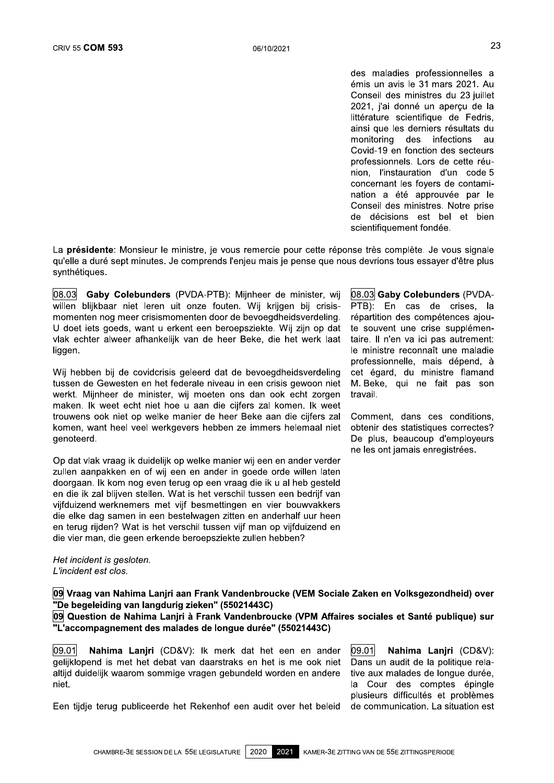09 Vraag van Nahima Laniri aan Frank Vandenbroucke (VEM Sociale Zaken en Volksgezondheid) over "De begeleiding van langdurig zieken" (55021443C)

09 Question de Nahima Lanjri à Frank Vandenbroucke (VPM Affaires sociales et Santé publique) sur "L'accompagnement des malades de longue durée" (55021443C)

 $09.01$ Nahima Laniri (CD&V): Ik merk dat het een en ander gelijklopend is met het debat van daarstraks en het is me ook niet altijd duidelijk waarom sommige vragen gebundeld worden en andere niet.

Een tijdie terug publiceerde het Rekenhof een audit over het beleid

 $09.01$ Nahima Laniri (CD&V): Dans un audit de la politique relative aux malades de longue durée. la Cour des comptes épingle plusieurs difficultés et problèmes de communication. La situation est

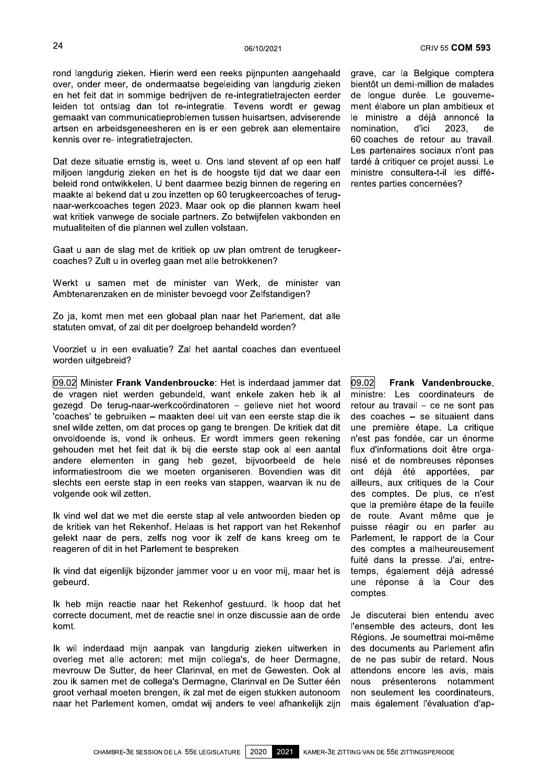rond langdurig zieken. Hierin werd een reeks pijnpunten aangehaald over, onder meer, de ondermaatse begeleiding van langdurig zieken en het feit dat in sommige bedrijven de re-integratietrajecten eerder leiden tot ontslag dan tot re-integratie. Tevens wordt er gewag gemaakt van communicatieproblemen tussen huisartsen, adviserende artsen en arbeidsgeneesheren en is er een gebrek aan elementaire kennis over re- integratietrajecten.

Dat deze situatie ernstig is, weet u. Ons land stevent af op een half miljoen langdurig zieken en het is de hoogste tijd dat we daar een beleid rond ontwikkelen. U bent daarmee bezig binnen de regering en maakte al bekend dat u zou inzetten op 60 terugkeercoaches of terugnaar-werkcoaches tegen 2023. Maar ook op die plannen kwam heel wat kritiek vanwege de sociale partners. Zo betwijfelen vakbonden en mutualiteiten of die plannen wel zullen volstaan.

Gaat u aan de slag met de kritiek op uw plan omtrent de terugkeercoaches? Zult u in overleg gaan met alle betrokkenen?

Werkt u samen met de minister van Werk, de minister van Ambtenarenzaken en de minister bevoegd voor Zelfstandigen?

Zo ja, komt men met een globaal plan naar het Parlement, dat alle statuten omvat, of zal dit per doelgroep behandeld worden?

Voorziet u in een evaluatie? Zal het aantal coaches dan eventueel worden uitgebreid?

09.02 Minister Frank Vandenbroucke: Het is inderdaad jammer dat de vragen niet werden gebundeld, want enkele zaken heb ik al gezegd. De terug-naar-werkcoördinatoren – gelieve niet het woord 'coaches' te gebruiken - maakten deel uit van een eerste stap die ik snel wilde zetten, om dat proces op gang te brengen. De kritiek dat dit onvoldoende is, vond ik onheus. Er wordt immers geen rekening gehouden met het feit dat ik bij die eerste stap ook al een aantal andere elementen in gang heb gezet, bijvoorbeeld de hele informatiestroom die we moeten organiseren. Bovendien was dit slechts een eerste stap in een reeks van stappen, waarvan ik nu de volgende ook wil zetten.

Ik vind wel dat we met die eerste stap al vele antwoorden bieden op de kritiek van het Rekenhof. Helaas is het rapport van het Rekenhof gelekt naar de pers, zelfs nog voor ik zelf de kans kreeg om te reageren of dit in het Parlement te bespreken.

Ik vind dat eigenlijk bijzonder jammer voor u en voor mij, maar het is gebeurd.

Ik heb mijn reactie naar het Rekenhof gestuurd. Ik hoop dat het correcte document, met de reactie snel in onze discussie aan de orde komt.

Ik wil inderdaad mijn aanpak van langdurig zieken uitwerken in overleg met alle actoren: met mijn collega's, de heer Dermagne, mevrouw De Sutter, de heer Clarinval, en met de Gewesten. Ook al zou ik samen met de collega's Dermagne, Clarinval en De Sutter één groot verhaal moeten brengen, ik zal met de eigen stukken autonoom naar het Parlement komen, omdat wij anders te veel afhankelijk zijn

grave, car la Belgique comptera bientôt un demi-million de malades de longue durée. Le gouvernement élabore un plan ambitieux et le ministre a déjà annoncé la nomination. d'ici 2023. de 60 coaches de retour au travail. Les partenaires sociaux n'ont pas tardé à critiquer ce projet aussi. Le ministre consultera-t-il les différentes parties concernées?

Frank Vandenbroucke.  $|09.02$ ministre: Les coordinateurs de retour au travail - ce ne sont pas des coaches - se situaient dans une première étape. La critique n'est pas fondée, car un énorme flux d'informations doit être organisé et de nombreuses réponses ont déjà été apportées, par ailleurs, aux critiques de la Cour des comptes. De plus, ce n'est que la première étape de la feuille de route. Avant même que je puisse réagir ou en parler au Parlement, le rapport de la Cour des comptes a malheureusement fuité dans la presse. J'ai, entretemps, également déjà adressé une réponse à la Cour des comptes.

Je discuterai bien entendu avec l'ensemble des acteurs, dont les Régions. Je soumettrai moi-même des documents au Parlement afin de ne pas subir de retard. Nous attendons encore les avis, mais présenterons notamment nous non seulement les coordinateurs. mais également l'évaluation d'ap